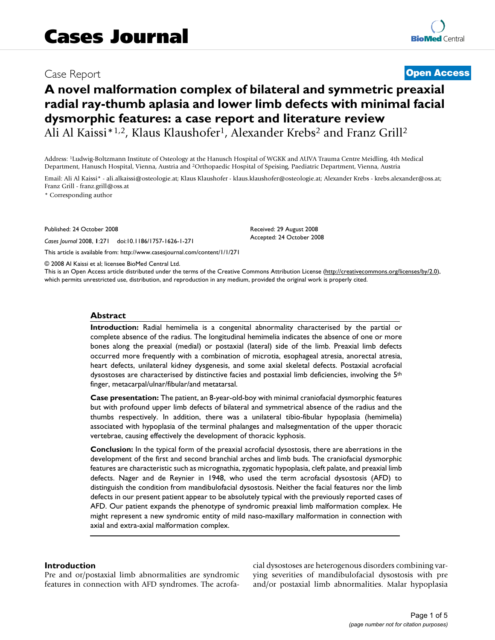## Case Report **[Open Access](http://www.biomedcentral.com/info/about/charter/)**

# **A novel malformation complex of bilateral and symmetric preaxial radial ray-thumb aplasia and lower limb defects with minimal facial dysmorphic features: a case report and literature review** Ali Al Kaissi\*<sup>1,2</sup>, Klaus Klaushofer<sup>1</sup>, Alexander Krebs<sup>2</sup> and Franz Grill<sup>2</sup>

Address: 1Ludwig-Boltzmann Institute of Osteology at the Hanusch Hospital of WGKK and AUVA Trauma Centre Meidling, 4th Medical Department, Hanusch Hospital, Vienna, Austria and 2Orthopaedic Hospital of Speising, Paediatric Department, Vienna, Austria

Email: Ali Al Kaissi\* - ali.alkaissi@osteologie.at; Klaus Klaushofer - klaus.klaushofer@osteologie.at; Alexander Krebs - krebs.alexander@oss.at; Franz Grill - franz.grill@oss.at

> Received: 29 August 2008 Accepted: 24 October 2008

\* Corresponding author

Published: 24 October 2008

*Cases Journal* 2008, **1**:271 doi:10.1186/1757-1626-1-271

[This article is available from: http://www.casesjournal.com/content/1/1/271](http://www.casesjournal.com/content/1/1/271)

© 2008 Al Kaissi et al; licensee BioMed Central Ltd.

This is an Open Access article distributed under the terms of the Creative Commons Attribution License [\(http://creativecommons.org/licenses/by/2.0\)](http://creativecommons.org/licenses/by/2.0), which permits unrestricted use, distribution, and reproduction in any medium, provided the original work is properly cited.

#### **Abstract**

**Introduction:** Radial hemimelia is a congenital abnormality characterised by the partial or complete absence of the radius. The longitudinal hemimelia indicates the absence of one or more bones along the preaxial (medial) or postaxial (lateral) side of the limb. Preaxial limb defects occurred more frequently with a combination of microtia, esophageal atresia, anorectal atresia, heart defects, unilateral kidney dysgenesis, and some axial skeletal defects. Postaxial acrofacial dysostoses are characterised by distinctive facies and postaxial limb deficiencies, involving the 5<sup>th</sup> finger, metacarpal/ulnar/fibular/and metatarsal.

**Case presentation:** The patient, an 8-year-old-boy with minimal craniofacial dysmorphic features but with profound upper limb defects of bilateral and symmetrical absence of the radius and the thumbs respectively. In addition, there was a unilateral tibio-fibular hypoplasia (hemimelia) associated with hypoplasia of the terminal phalanges and malsegmentation of the upper thoracic vertebrae, causing effectively the development of thoracic kyphosis.

**Conclusion:** In the typical form of the preaxial acrofacial dysostosis, there are aberrations in the development of the first and second branchial arches and limb buds. The craniofacial dysmorphic features are characteristic such as micrognathia, zygomatic hypoplasia, cleft palate, and preaxial limb defects. Nager and de Reynier in 1948, who used the term acrofacial dysostosis (AFD) to distinguish the condition from mandibulofacial dysostosis. Neither the facial features nor the limb defects in our present patient appear to be absolutely typical with the previously reported cases of AFD. Our patient expands the phenotype of syndromic preaxial limb malformation complex. He might represent a new syndromic entity of mild naso-maxillary malformation in connection with axial and extra-axial malformation complex.

#### **Introduction**

Pre and or/postaxial limb abnormalities are syndromic features in connection with AFD syndromes. The acrofacial dysostoses are heterogenous disorders combining varying severities of mandibulofacial dysostosis with pre and/or postaxial limb abnormalities. Malar hypoplasia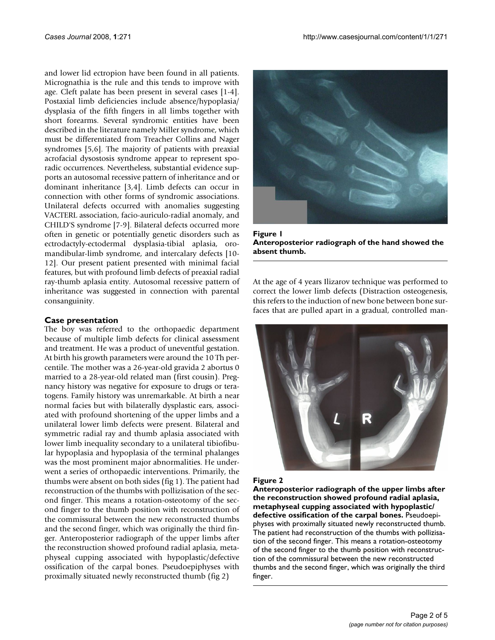and lower lid ectropion have been found in all patients. Micrognathia is the rule and this tends to improve with age. Cleft palate has been present in several cases [1-4]. Postaxial limb deficiencies include absence/hypoplasia/ dysplasia of the fifth fingers in all limbs together with short forearms. Several syndromic entities have been described in the literature namely Miller syndrome, which must be differentiated from Treacher Collins and Nager syndromes [5,6]. The majority of patients with preaxial acrofacial dysostosis syndrome appear to represent sporadic occurrences. Nevertheless, substantial evidence supports an autosomal recessive pattern of inheritance and or dominant inheritance [3,4]. Limb defects can occur in connection with other forms of syndromic associations. Unilateral defects occurred with anomalies suggesting VACTERL association, facio-auriculo-radial anomaly, and CHILD'S syndrome [7-9]. Bilateral defects occurred more often in genetic or potentially genetic disorders such as ectrodactyly-ectodermal dysplasia-tibial aplasia, oromandibular-limb syndrome, and intercalary defects [10- 12]. Our present patient presented with minimal facial features, but with profound limb defects of preaxial radial ray-thumb aplasia entity. Autosomal recessive pattern of inheritance was suggested in connection with parental consanguinity.

#### **Case presentation**

The boy was referred to the orthopaedic department because of multiple limb defects for clinical assessment and treatment. He was a product of uneventful gestation. At birth his growth parameters were around the 10 Th percentile. The mother was a 26-year-old gravida 2 abortus 0 married to a 28-year-old related man (first cousin). Pregnancy history was negative for exposure to drugs or teratogens. Family history was unremarkable. At birth a near normal facies but with bilaterally dysplastic ears, associated with profound shortening of the upper limbs and a unilateral lower limb defects were present. Bilateral and symmetric radial ray and thumb aplasia associated with lower limb inequality secondary to a unilateral tibiofibular hypoplasia and hypoplasia of the terminal phalanges was the most prominent major abnormalities. He underwent a series of orthopaedic interventions. Primarily, the thumbs were absent on both sides (fig 1). The patient had reconstruction of the thumbs with pollizisation of the second finger. This means a rotation-osteotomy of the second finger to the thumb position with reconstruction of the commissural between the new reconstructed thumbs and the second finger, which was originally the third finger. Anteroposterior radiograph of the upper limbs after the reconstruction showed profound radial aplasia, metaphyseal cupping associated with hypoplastic/defective ossification of the carpal bones. Pseudoepiphyses with proximally situated newly reconstructed thumb (fig 2)



Figure 1 **Anteroposterior radiograph of the hand showed the absent thumb.**

At the age of 4 years Ilizarov technique was performed to correct the lower limb defects (Distraction osteogenesis, this refers to the induction of new bone between bone surfaces that are pulled apart in a gradual, controlled man-



#### Figure 2

**Anteroposterior radiograph of the upper limbs after the reconstruction showed profound radial aplasia, metaphyseal cupping associated with hypoplastic/ defective ossification of the carpal bones.** Pseudoepiphyses with proximally situated newly reconstructed thumb. The patient had reconstruction of the thumbs with pollizisation of the second finger. This means a rotation-osteotomy of the second finger to the thumb position with reconstruction of the commissural between the new reconstructed thumbs and the second finger, which was originally the third finger.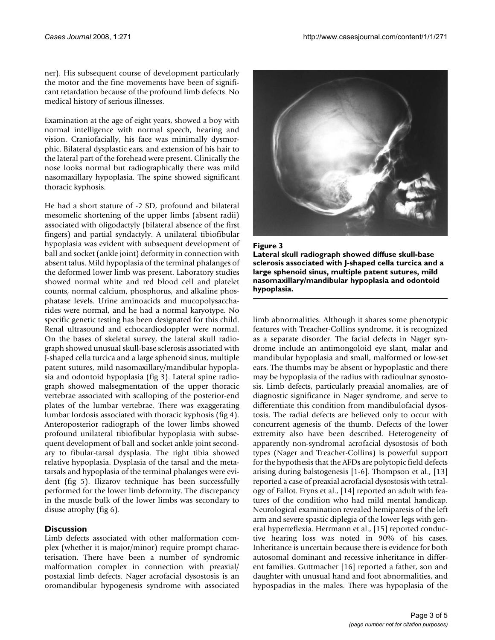ner). His subsequent course of development particularly the motor and the fine movements have been of significant retardation because of the profound limb defects. No medical history of serious illnesses.

Examination at the age of eight years, showed a boy with normal intelligence with normal speech, hearing and vision. Craniofacially, his face was minimally dysmorphic. Bilateral dysplastic ears, and extension of his hair to the lateral part of the forehead were present. Clinically the nose looks normal but radiographically there was mild nasomaxillary hypoplasia. The spine showed significant thoracic kyphosis.

He had a short stature of -2 SD, profound and bilateral mesomelic shortening of the upper limbs (absent radii) associated with oligodactyly (bilateral absence of the first fingers) and partial syndactyly. A unilateral tibiofibular hypoplasia was evident with subsequent development of ball and socket (ankle joint) deformity in connection with absent talus. Mild hypoplasia of the terminal phalanges of the deformed lower limb was present. Laboratory studies showed normal white and red blood cell and platelet counts, normal calcium, phosphorus, and alkaline phosphatase levels. Urine aminoacids and mucopolysaccharides were normal, and he had a normal karyotype. No specific genetic testing has been designated for this child. Renal ultrasound and echocardiodoppler were normal. On the bases of skeletal survey, the lateral skull radiograph showed unusual skull-base sclerosis associated with J-shaped cella turcica and a large sphenoid sinus, multiple patent sutures, mild nasomaxillary/mandibular hypoplasia and odontoid hypoplasia (fig 3). Lateral spine radiograph showed malsegmentation of the upper thoracic vertebrae associated with scalloping of the posterior-end plates of the lumbar vertebrae. There was exaggerating lumbar lordosis associated with thoracic kyphosis (fig 4). Anteroposterior radiograph of the lower limbs showed profound unilateral tibiofibular hypoplasia with subsequent development of ball and socket ankle joint secondary to fibular-tarsal dysplasia. The right tibia showed relative hypoplasia. Dysplasia of the tarsal and the metatarsals and hypoplasia of the terminal phalanges were evident (fig 5). Ilizarov technique has been successfully performed for the lower limb deformity. The discrepancy in the muscle bulk of the lower limbs was secondary to disuse atrophy (fig 6).

#### **Discussion**

Limb defects associated with other malformation complex (whether it is major/minor) require prompt characterisation. There have been a number of syndromic malformation complex in connection with preaxial/ postaxial limb defects. Nager acrofacial dysostosis is an oromandibular hypogenesis syndrome with associated



#### Figure 3

**Lateral skull radiograph showed diffuse skull-base sclerosis associated with J-shaped cella turcica and a large sphenoid sinus, multiple patent sutures, mild nasomaxillary/mandibular hypoplasia and odontoid hypoplasia.**

limb abnormalities. Although it shares some phenotypic features with Treacher-Collins syndrome, it is recognized as a separate disorder. The facial defects in Nager syndrome include an antimongoloid eye slant, malar and mandibular hypoplasia and small, malformed or low-set ears. The thumbs may be absent or hypoplastic and there may be hypoplasia of the radius with radioulnar synostosis. Limb defects, particularly preaxial anomalies, are of diagnostic significance in Nager syndrome, and serve to differentiate this condition from mandibulofacial dysostosis. The radial defects are believed only to occur with concurrent agenesis of the thumb. Defects of the lower extremity also have been described. Heterogeneity of apparently non-syndromal acrofacial dysostosis of both types (Nager and Treacher-Collins) is powerful support for the hypothesis that the AFDs are polytopic field defects arising during balstogenesis [1-6]. Thompson et al., [13] reported a case of preaxial acrofacial dysostosis with tetralogy of Fallot. Fryns et al., [14] reported an adult with features of the condition who had mild mental handicap. Neurological examination revealed hemiparesis of the left arm and severe spastic diplegia of the lower legs with general hyperreflexia. Herrmann et al., [15] reported conductive hearing loss was noted in 90% of his cases. Inheritance is uncertain because there is evidence for both autosomal dominant and recessive inheritance in different families. Guttmacher [16] reported a father, son and daughter with unusual hand and foot abnormalities, and hypospadias in the males. There was hypoplasia of the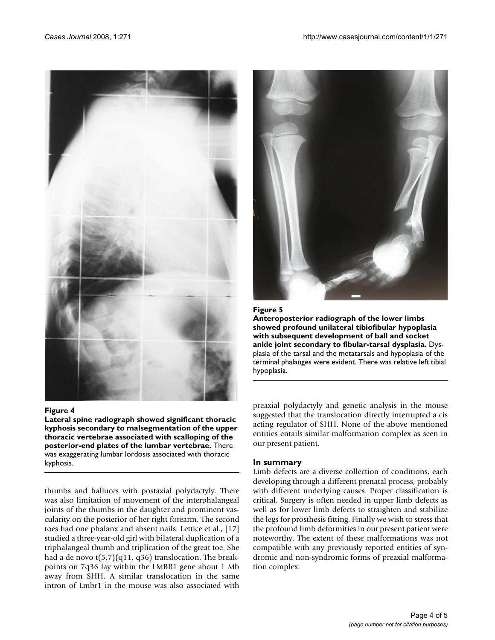

#### Figure 4

**Lateral spine radiograph showed significant thoracic kyphosis secondary to malsegmentation of the upper thoracic vertebrae associated with scalloping of the posterior-end plates of the lumbar vertebrae.** There was exaggerating lumbar lordosis associated with thoracic kyphosis.

thumbs and halluces with postaxial polydactyly. There was also limitation of movement of the interphalangeal joints of the thumbs in the daughter and prominent vascularity on the posterior of her right forearm. The second toes had one phalanx and absent nails. Lettice et al., [17] studied a three-year-old girl with bilateral duplication of a triphalangeal thumb and triplication of the great toe. She had a de novo t(5,7)(q11, q36) translocation. The breakpoints on 7q36 lay within the LMBR1 gene about 1 Mb away from SHH. A similar translocation in the same intron of Lmbr1 in the mouse was also associated with



#### Figure 5

**Anteroposterior radiograph of the lower limbs showed profound unilateral tibiofibular hypoplasia with subsequent development of ball and socket ankle joint secondary to fibular-tarsal dysplasia.** Dysplasia of the tarsal and the metatarsals and hypoplasia of the terminal phalanges were evident. There was relative left tibial hypoplasia.

preaxial polydactyly and genetic analysis in the mouse suggested that the translocation directly interrupted a cis acting regulator of SHH. None of the above mentioned entities entails similar malformation complex as seen in our present patient.

#### **In summary**

Limb defects are a diverse collection of conditions, each developing through a different prenatal process, probably with different underlying causes. Proper classification is critical. Surgery is often needed in upper limb defects as well as for lower limb defects to straighten and stabilize the legs for prosthesis fitting. Finally we wish to stress that the profound limb deformities in our present patient were noteworthy. The extent of these malformations was not compatible with any previously reported entities of syndromic and non-syndromic forms of preaxial malformation complex.